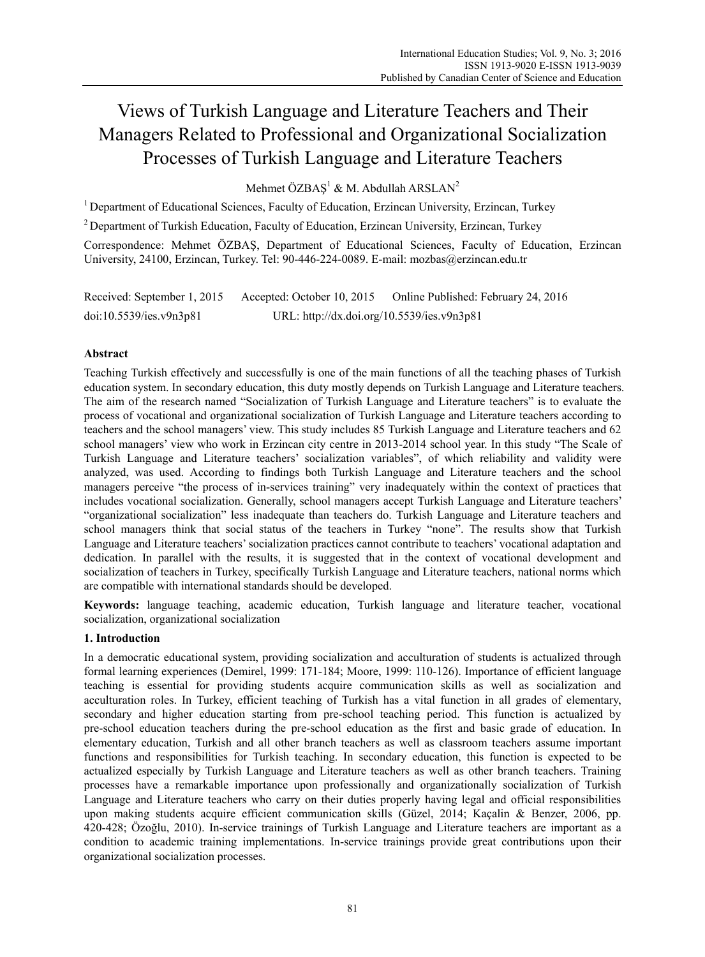# Views of Turkish Language and Literature Teachers and Their Managers Related to Professional and Organizational Socialization Processes of Turkish Language and Literature Teachers

Mehmet ÖZBAŞ<sup>1</sup> & M. Abdullah ARSLAN<sup>2</sup>

<sup>1</sup> Department of Educational Sciences, Faculty of Education, Erzincan University, Erzincan, Turkey

2 Department of Turkish Education, Faculty of Education, Erzincan University, Erzincan, Turkey

Correspondence: Mehmet ÖZBAŞ, Department of Educational Sciences, Faculty of Education, Erzincan University, 24100, Erzincan, Turkey. Tel: 90-446-224-0089. E-mail: mozbas@erzincan.edu.tr

Received: September 1, 2015 Accepted: October 10, 2015 Online Published: February 24, 2016 doi:10.5539/ies.v9n3p81 URL: http://dx.doi.org/10.5539/ies.v9n3p81

## **Abstract**

Teaching Turkish effectively and successfully is one of the main functions of all the teaching phases of Turkish education system. In secondary education, this duty mostly depends on Turkish Language and Literature teachers. The aim of the research named "Socialization of Turkish Language and Literature teachers" is to evaluate the process of vocational and organizational socialization of Turkish Language and Literature teachers according to teachers and the school managers' view. This study includes 85 Turkish Language and Literature teachers and 62 school managers' view who work in Erzincan city centre in 2013-2014 school year. In this study "The Scale of Turkish Language and Literature teachers' socialization variables", of which reliability and validity were analyzed, was used. According to findings both Turkish Language and Literature teachers and the school managers perceive "the process of in-services training" very inadequately within the context of practices that includes vocational socialization. Generally, school managers accept Turkish Language and Literature teachers' "organizational socialization" less inadequate than teachers do. Turkish Language and Literature teachers and school managers think that social status of the teachers in Turkey "none". The results show that Turkish Language and Literature teachers' socialization practices cannot contribute to teachers' vocational adaptation and dedication. In parallel with the results, it is suggested that in the context of vocational development and socialization of teachers in Turkey, specifically Turkish Language and Literature teachers, national norms which are compatible with international standards should be developed.

**Keywords:** language teaching, academic education, Turkish language and literature teacher, vocational socialization, organizational socialization

#### **1. Introduction**

In a democratic educational system, providing socialization and acculturation of students is actualized through formal learning experiences (Demirel, 1999: 171-184; Moore, 1999: 110-126). Importance of efficient language teaching is essential for providing students acquire communication skills as well as socialization and acculturation roles. In Turkey, efficient teaching of Turkish has a vital function in all grades of elementary, secondary and higher education starting from pre-school teaching period. This function is actualized by pre-school education teachers during the pre-school education as the first and basic grade of education. In elementary education, Turkish and all other branch teachers as well as classroom teachers assume important functions and responsibilities for Turkish teaching. In secondary education, this function is expected to be actualized especially by Turkish Language and Literature teachers as well as other branch teachers. Training processes have a remarkable importance upon professionally and organizationally socialization of Turkish Language and Literature teachers who carry on their duties properly having legal and official responsibilities upon making students acquire efficient communication skills (Güzel, 2014; Kaçalin & Benzer, 2006, pp. 420-428; Özoğlu, 2010). In-service trainings of Turkish Language and Literature teachers are important as a condition to academic training implementations. In-service trainings provide great contributions upon their organizational socialization processes.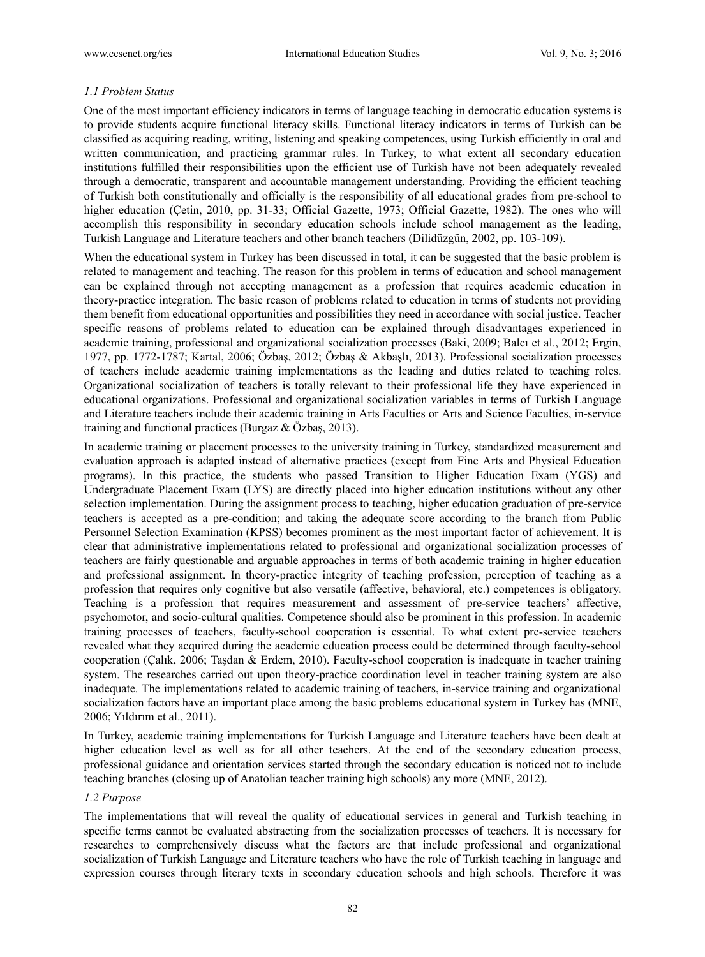## *1.1 Problem Status*

One of the most important efficiency indicators in terms of language teaching in democratic education systems is to provide students acquire functional literacy skills. Functional literacy indicators in terms of Turkish can be classified as acquiring reading, writing, listening and speaking competences, using Turkish efficiently in oral and written communication, and practicing grammar rules. In Turkey, to what extent all secondary education institutions fulfilled their responsibilities upon the efficient use of Turkish have not been adequately revealed through a democratic, transparent and accountable management understanding. Providing the efficient teaching of Turkish both constitutionally and officially is the responsibility of all educational grades from pre-school to higher education (Cetin, 2010, pp. 31-33; Official Gazette, 1973; Official Gazette, 1982). The ones who will accomplish this responsibility in secondary education schools include school management as the leading, Turkish Language and Literature teachers and other branch teachers (Dilidüzgün, 2002, pp. 103-109).

When the educational system in Turkey has been discussed in total, it can be suggested that the basic problem is related to management and teaching. The reason for this problem in terms of education and school management can be explained through not accepting management as a profession that requires academic education in theory-practice integration. The basic reason of problems related to education in terms of students not providing them benefit from educational opportunities and possibilities they need in accordance with social justice. Teacher specific reasons of problems related to education can be explained through disadvantages experienced in academic training, professional and organizational socialization processes (Baki, 2009; Balcı et al., 2012; Ergin, 1977, pp. 1772-1787; Kartal, 2006; Özbaş, 2012; Özbaş & Akbaşlı, 2013). Professional socialization processes of teachers include academic training implementations as the leading and duties related to teaching roles. Organizational socialization of teachers is totally relevant to their professional life they have experienced in educational organizations. Professional and organizational socialization variables in terms of Turkish Language and Literature teachers include their academic training in Arts Faculties or Arts and Science Faculties, in-service training and functional practices (Burgaz & Özbaş, 2013).

In academic training or placement processes to the university training in Turkey, standardized measurement and evaluation approach is adapted instead of alternative practices (except from Fine Arts and Physical Education programs). In this practice, the students who passed Transition to Higher Education Exam (YGS) and Undergraduate Placement Exam (LYS) are directly placed into higher education institutions without any other selection implementation. During the assignment process to teaching, higher education graduation of pre-service teachers is accepted as a pre-condition; and taking the adequate score according to the branch from Public Personnel Selection Examination (KPSS) becomes prominent as the most important factor of achievement. It is clear that administrative implementations related to professional and organizational socialization processes of teachers are fairly questionable and arguable approaches in terms of both academic training in higher education and professional assignment. In theory-practice integrity of teaching profession, perception of teaching as a profession that requires only cognitive but also versatile (affective, behavioral, etc.) competences is obligatory. Teaching is a profession that requires measurement and assessment of pre-service teachers' affective, psychomotor, and socio-cultural qualities. Competence should also be prominent in this profession. In academic training processes of teachers, faculty-school cooperation is essential. To what extent pre-service teachers revealed what they acquired during the academic education process could be determined through faculty-school cooperation (Çalık, 2006; Taşdan & Erdem, 2010). Faculty-school cooperation is inadequate in teacher training system. The researches carried out upon theory-practice coordination level in teacher training system are also inadequate. The implementations related to academic training of teachers, in-service training and organizational socialization factors have an important place among the basic problems educational system in Turkey has (MNE, 2006; Yıldırım et al., 2011).

In Turkey, academic training implementations for Turkish Language and Literature teachers have been dealt at higher education level as well as for all other teachers. At the end of the secondary education process, professional guidance and orientation services started through the secondary education is noticed not to include teaching branches (closing up of Anatolian teacher training high schools) any more (MNE, 2012).

### *1.2 Purpose*

The implementations that will reveal the quality of educational services in general and Turkish teaching in specific terms cannot be evaluated abstracting from the socialization processes of teachers. It is necessary for researches to comprehensively discuss what the factors are that include professional and organizational socialization of Turkish Language and Literature teachers who have the role of Turkish teaching in language and expression courses through literary texts in secondary education schools and high schools. Therefore it was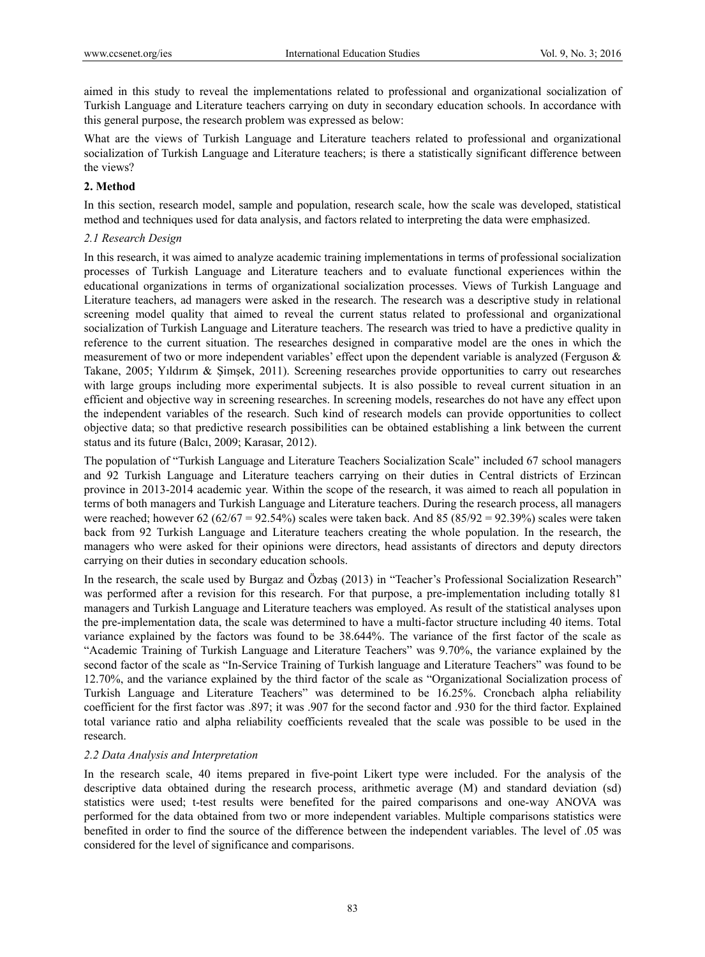aimed in this study to reveal the implementations related to professional and organizational socialization of Turkish Language and Literature teachers carrying on duty in secondary education schools. In accordance with this general purpose, the research problem was expressed as below:

What are the views of Turkish Language and Literature teachers related to professional and organizational socialization of Turkish Language and Literature teachers; is there a statistically significant difference between the views?

## **2. Method**

In this section, research model, sample and population, research scale, how the scale was developed, statistical method and techniques used for data analysis, and factors related to interpreting the data were emphasized.

## *2.1 Research Design*

In this research, it was aimed to analyze academic training implementations in terms of professional socialization processes of Turkish Language and Literature teachers and to evaluate functional experiences within the educational organizations in terms of organizational socialization processes. Views of Turkish Language and Literature teachers, ad managers were asked in the research. The research was a descriptive study in relational screening model quality that aimed to reveal the current status related to professional and organizational socialization of Turkish Language and Literature teachers. The research was tried to have a predictive quality in reference to the current situation. The researches designed in comparative model are the ones in which the measurement of two or more independent variables' effect upon the dependent variable is analyzed (Ferguson & Takane, 2005; Yıldırım & Şimşek, 2011). Screening researches provide opportunities to carry out researches with large groups including more experimental subjects. It is also possible to reveal current situation in an efficient and objective way in screening researches. In screening models, researches do not have any effect upon the independent variables of the research. Such kind of research models can provide opportunities to collect objective data; so that predictive research possibilities can be obtained establishing a link between the current status and its future (Balcı, 2009; Karasar, 2012).

The population of "Turkish Language and Literature Teachers Socialization Scale" included 67 school managers and 92 Turkish Language and Literature teachers carrying on their duties in Central districts of Erzincan province in 2013-2014 academic year. Within the scope of the research, it was aimed to reach all population in terms of both managers and Turkish Language and Literature teachers. During the research process, all managers were reached; however 62 (62/67 = 92.54%) scales were taken back. And 85 (85/92 = 92.39%) scales were taken back from 92 Turkish Language and Literature teachers creating the whole population. In the research, the managers who were asked for their opinions were directors, head assistants of directors and deputy directors carrying on their duties in secondary education schools.

In the research, the scale used by Burgaz and Özbaş (2013) in "Teacher's Professional Socialization Research" was performed after a revision for this research. For that purpose, a pre-implementation including totally 81 managers and Turkish Language and Literature teachers was employed. As result of the statistical analyses upon the pre-implementation data, the scale was determined to have a multi-factor structure including 40 items. Total variance explained by the factors was found to be 38.644%. The variance of the first factor of the scale as "Academic Training of Turkish Language and Literature Teachers" was 9.70%, the variance explained by the second factor of the scale as "In-Service Training of Turkish language and Literature Teachers" was found to be 12.70%, and the variance explained by the third factor of the scale as "Organizational Socialization process of Turkish Language and Literature Teachers" was determined to be 16.25%. Croncbach alpha reliability coefficient for the first factor was .897; it was .907 for the second factor and .930 for the third factor. Explained total variance ratio and alpha reliability coefficients revealed that the scale was possible to be used in the research.

#### *2.2 Data Analysis and Interpretation*

In the research scale, 40 items prepared in five-point Likert type were included. For the analysis of the descriptive data obtained during the research process, arithmetic average (M) and standard deviation (sd) statistics were used; t-test results were benefited for the paired comparisons and one-way ANOVA was performed for the data obtained from two or more independent variables. Multiple comparisons statistics were benefited in order to find the source of the difference between the independent variables. The level of .05 was considered for the level of significance and comparisons.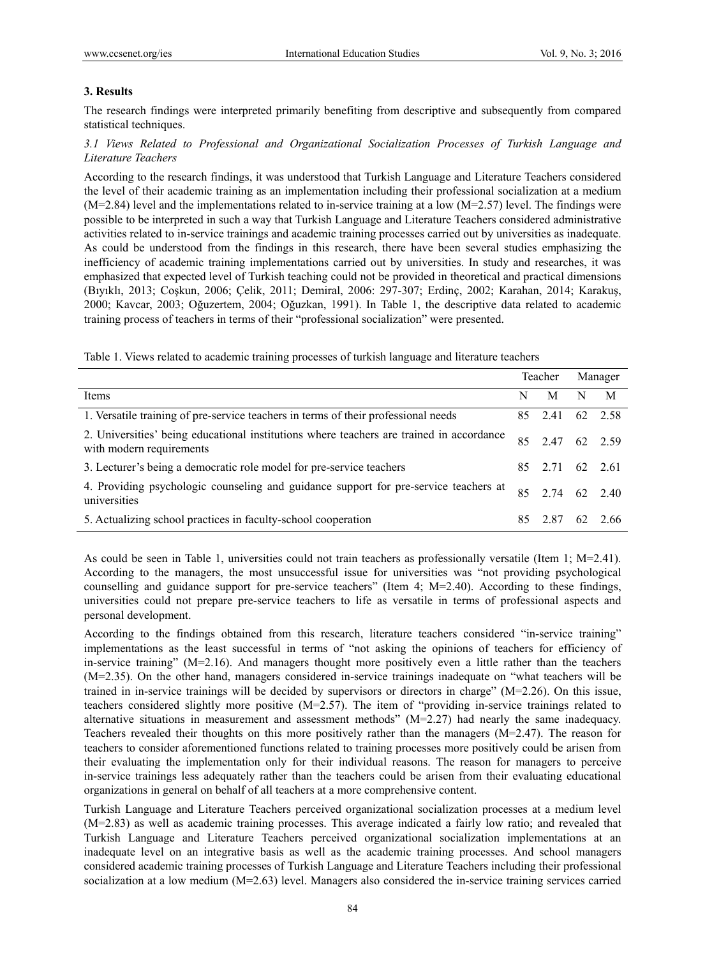### **3. Results**

The research findings were interpreted primarily benefiting from descriptive and subsequently from compared statistical techniques.

## *3.1 Views Related to Professional and Organizational Socialization Processes of Turkish Language and Literature Teachers*

According to the research findings, it was understood that Turkish Language and Literature Teachers considered the level of their academic training as an implementation including their professional socialization at a medium  $(M=2.84)$  level and the implementations related to in-service training at a low  $(M=2.57)$  level. The findings were possible to be interpreted in such a way that Turkish Language and Literature Teachers considered administrative activities related to in-service trainings and academic training processes carried out by universities as inadequate. As could be understood from the findings in this research, there have been several studies emphasizing the inefficiency of academic training implementations carried out by universities. In study and researches, it was emphasized that expected level of Turkish teaching could not be provided in theoretical and practical dimensions (Bıyıklı, 2013; Coşkun, 2006; Çelik, 2011; Demiral, 2006: 297-307; Erdinç, 2002; Karahan, 2014; Karakuş, 2000; Kavcar, 2003; Oğuzertem, 2004; Oğuzkan, 1991). In Table 1, the descriptive data related to academic training process of teachers in terms of their "professional socialization" were presented.

Table 1. Views related to academic training processes of turkish language and literature teachers

|                                                                                                                      | Teacher |                 |    | Manager |  |
|----------------------------------------------------------------------------------------------------------------------|---------|-----------------|----|---------|--|
| Items                                                                                                                | N       | М               | N  | M       |  |
| 1. Versatile training of pre-service teachers in terms of their professional needs                                   |         | 85 2.41         |    | 62 2.58 |  |
| 2. Universities' being educational institutions where teachers are trained in accordance<br>with modern requirements | 85      | 2.47 62 2.59    |    |         |  |
| 3. Lecturer's being a democratic role model for pre-service teachers                                                 |         | 85 2.71 62 2.61 |    |         |  |
| 4. Providing psychologic counseling and guidance support for pre-service teachers at<br>universities                 |         | 85 2.74 62 2.40 |    |         |  |
| 5. Actualizing school practices in faculty-school cooperation                                                        | 85      | 2.87            | 62 | 2.66    |  |

As could be seen in Table 1, universities could not train teachers as professionally versatile (Item 1; M=2.41). According to the managers, the most unsuccessful issue for universities was "not providing psychological counselling and guidance support for pre-service teachers" (Item 4; M=2.40). According to these findings, universities could not prepare pre-service teachers to life as versatile in terms of professional aspects and personal development.

According to the findings obtained from this research, literature teachers considered "in-service training" implementations as the least successful in terms of "not asking the opinions of teachers for efficiency of in-service training" (M=2.16). And managers thought more positively even a little rather than the teachers (M=2.35). On the other hand, managers considered in-service trainings inadequate on "what teachers will be trained in in-service trainings will be decided by supervisors or directors in charge" (M=2.26). On this issue, teachers considered slightly more positive (M=2.57). The item of "providing in-service trainings related to alternative situations in measurement and assessment methods" (M=2.27) had nearly the same inadequacy. Teachers revealed their thoughts on this more positively rather than the managers  $(M=2.47)$ . The reason for teachers to consider aforementioned functions related to training processes more positively could be arisen from their evaluating the implementation only for their individual reasons. The reason for managers to perceive in-service trainings less adequately rather than the teachers could be arisen from their evaluating educational organizations in general on behalf of all teachers at a more comprehensive content.

Turkish Language and Literature Teachers perceived organizational socialization processes at a medium level (M=2.83) as well as academic training processes. This average indicated a fairly low ratio; and revealed that Turkish Language and Literature Teachers perceived organizational socialization implementations at an inadequate level on an integrative basis as well as the academic training processes. And school managers considered academic training processes of Turkish Language and Literature Teachers including their professional socialization at a low medium (M=2.63) level. Managers also considered the in-service training services carried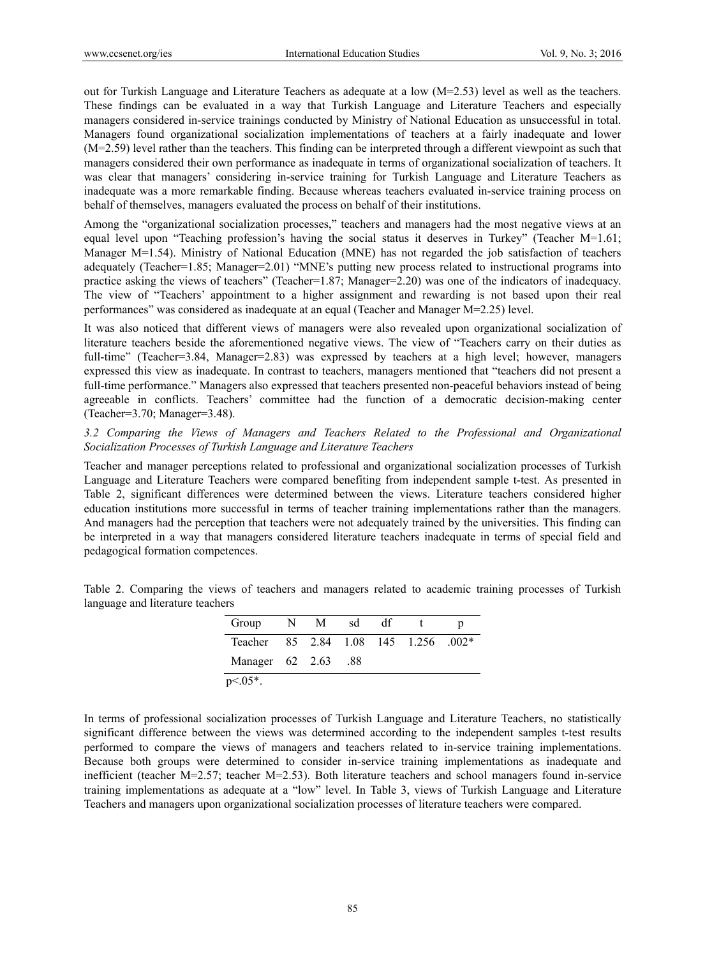out for Turkish Language and Literature Teachers as adequate at a low (M=2.53) level as well as the teachers. These findings can be evaluated in a way that Turkish Language and Literature Teachers and especially managers considered in-service trainings conducted by Ministry of National Education as unsuccessful in total. Managers found organizational socialization implementations of teachers at a fairly inadequate and lower (M=2.59) level rather than the teachers. This finding can be interpreted through a different viewpoint as such that managers considered their own performance as inadequate in terms of organizational socialization of teachers. It was clear that managers' considering in-service training for Turkish Language and Literature Teachers as inadequate was a more remarkable finding. Because whereas teachers evaluated in-service training process on behalf of themselves, managers evaluated the process on behalf of their institutions.

Among the "organizational socialization processes," teachers and managers had the most negative views at an equal level upon "Teaching profession's having the social status it deserves in Turkey" (Teacher M=1.61; Manager M=1.54). Ministry of National Education (MNE) has not regarded the job satisfaction of teachers adequately (Teacher=1.85; Manager=2.01) "MNE's putting new process related to instructional programs into practice asking the views of teachers" (Teacher=1.87; Manager=2.20) was one of the indicators of inadequacy. The view of "Teachers' appointment to a higher assignment and rewarding is not based upon their real performances" was considered as inadequate at an equal (Teacher and Manager M=2.25) level.

It was also noticed that different views of managers were also revealed upon organizational socialization of literature teachers beside the aforementioned negative views. The view of "Teachers carry on their duties as full-time" (Teacher=3.84, Manager=2.83) was expressed by teachers at a high level; however, managers expressed this view as inadequate. In contrast to teachers, managers mentioned that "teachers did not present a full-time performance." Managers also expressed that teachers presented non-peaceful behaviors instead of being agreeable in conflicts. Teachers' committee had the function of a democratic decision-making center (Teacher=3.70; Manager=3.48).

## *3.2 Comparing the Views of Managers and Teachers Related to the Professional and Organizational Socialization Processes of Turkish Language and Literature Teachers*

Teacher and manager perceptions related to professional and organizational socialization processes of Turkish Language and Literature Teachers were compared benefiting from independent sample t-test. As presented in Table 2, significant differences were determined between the views. Literature teachers considered higher education institutions more successful in terms of teacher training implementations rather than the managers. And managers had the perception that teachers were not adequately trained by the universities. This finding can be interpreted in a way that managers considered literature teachers inadequate in terms of special field and pedagogical formation competences.

| Group                                | N M | sd  | df |  |
|--------------------------------------|-----|-----|----|--|
| Teacher 85 2.84 1.08 145 1.256 .002* |     |     |    |  |
| Manager $62$ $2.63$                  |     | .88 |    |  |
| $p<0.05*$ .                          |     |     |    |  |

Table 2. Comparing the views of teachers and managers related to academic training processes of Turkish language and literature teachers

In terms of professional socialization processes of Turkish Language and Literature Teachers, no statistically significant difference between the views was determined according to the independent samples t-test results performed to compare the views of managers and teachers related to in-service training implementations. Because both groups were determined to consider in-service training implementations as inadequate and inefficient (teacher M=2.57; teacher M=2.53). Both literature teachers and school managers found in-service training implementations as adequate at a "low" level. In Table 3, views of Turkish Language and Literature Teachers and managers upon organizational socialization processes of literature teachers were compared.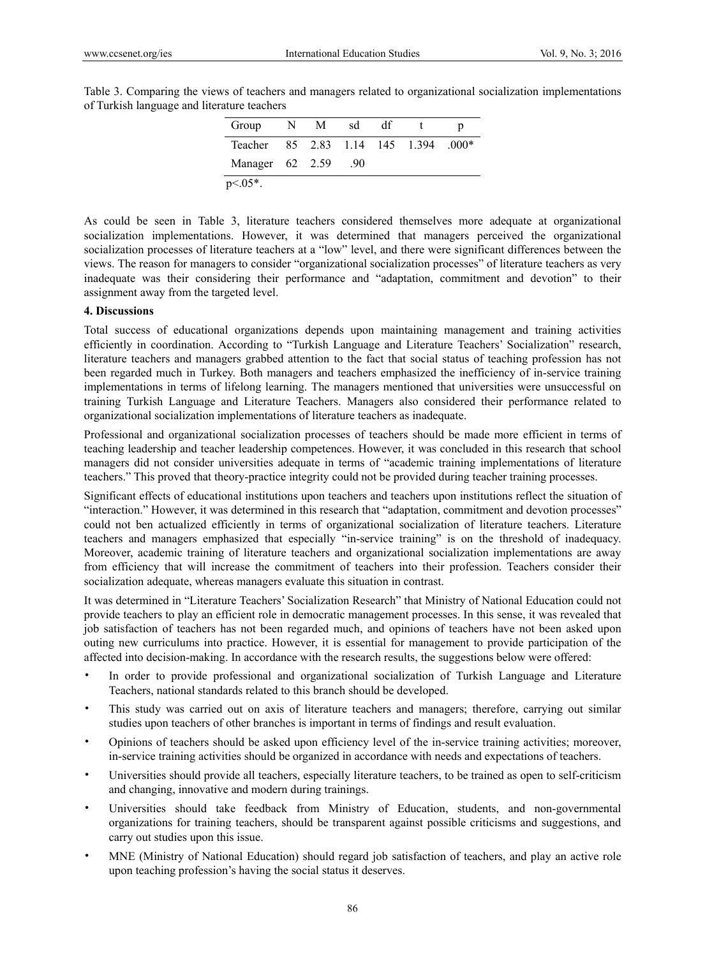| Group                                | N | $\blacksquare$ | sd  | df |  |
|--------------------------------------|---|----------------|-----|----|--|
| Teacher 85 2.83 1.14 145 1.394 .000* |   |                |     |    |  |
| Manager 62 2.59                      |   |                | .90 |    |  |
| $p<0.05*$ .                          |   |                |     |    |  |

Table 3. Comparing the views of teachers and managers related to organizational socialization implementations of Turkish language and literature teachers

As could be seen in Table 3, literature teachers considered themselves more adequate at organizational socialization implementations. However, it was determined that managers perceived the organizational socialization processes of literature teachers at a "low" level, and there were significant differences between the views. The reason for managers to consider "organizational socialization processes" of literature teachers as very inadequate was their considering their performance and "adaptation, commitment and devotion" to their assignment away from the targeted level.

### **4. Discussions**

Total success of educational organizations depends upon maintaining management and training activities efficiently in coordination. According to "Turkish Language and Literature Teachers' Socialization" research, literature teachers and managers grabbed attention to the fact that social status of teaching profession has not been regarded much in Turkey. Both managers and teachers emphasized the inefficiency of in-service training implementations in terms of lifelong learning. The managers mentioned that universities were unsuccessful on training Turkish Language and Literature Teachers. Managers also considered their performance related to organizational socialization implementations of literature teachers as inadequate.

Professional and organizational socialization processes of teachers should be made more efficient in terms of teaching leadership and teacher leadership competences. However, it was concluded in this research that school managers did not consider universities adequate in terms of "academic training implementations of literature teachers." This proved that theory-practice integrity could not be provided during teacher training processes.

Significant effects of educational institutions upon teachers and teachers upon institutions reflect the situation of "interaction." However, it was determined in this research that "adaptation, commitment and devotion processes" could not ben actualized efficiently in terms of organizational socialization of literature teachers. Literature teachers and managers emphasized that especially "in-service training" is on the threshold of inadequacy. Moreover, academic training of literature teachers and organizational socialization implementations are away from efficiency that will increase the commitment of teachers into their profession. Teachers consider their socialization adequate, whereas managers evaluate this situation in contrast.

It was determined in "Literature Teachers' Socialization Research" that Ministry of National Education could not provide teachers to play an efficient role in democratic management processes. In this sense, it was revealed that job satisfaction of teachers has not been regarded much, and opinions of teachers have not been asked upon outing new curriculums into practice. However, it is essential for management to provide participation of the affected into decision-making. In accordance with the research results, the suggestions below were offered:

- In order to provide professional and organizational socialization of Turkish Language and Literature Teachers, national standards related to this branch should be developed.
- This study was carried out on axis of literature teachers and managers; therefore, carrying out similar studies upon teachers of other branches is important in terms of findings and result evaluation.
- Opinions of teachers should be asked upon efficiency level of the in-service training activities; moreover, in-service training activities should be organized in accordance with needs and expectations of teachers.
- Universities should provide all teachers, especially literature teachers, to be trained as open to self-criticism and changing, innovative and modern during trainings.
- Universities should take feedback from Ministry of Education, students, and non-governmental organizations for training teachers, should be transparent against possible criticisms and suggestions, and carry out studies upon this issue.
- MNE (Ministry of National Education) should regard job satisfaction of teachers, and play an active role upon teaching profession's having the social status it deserves.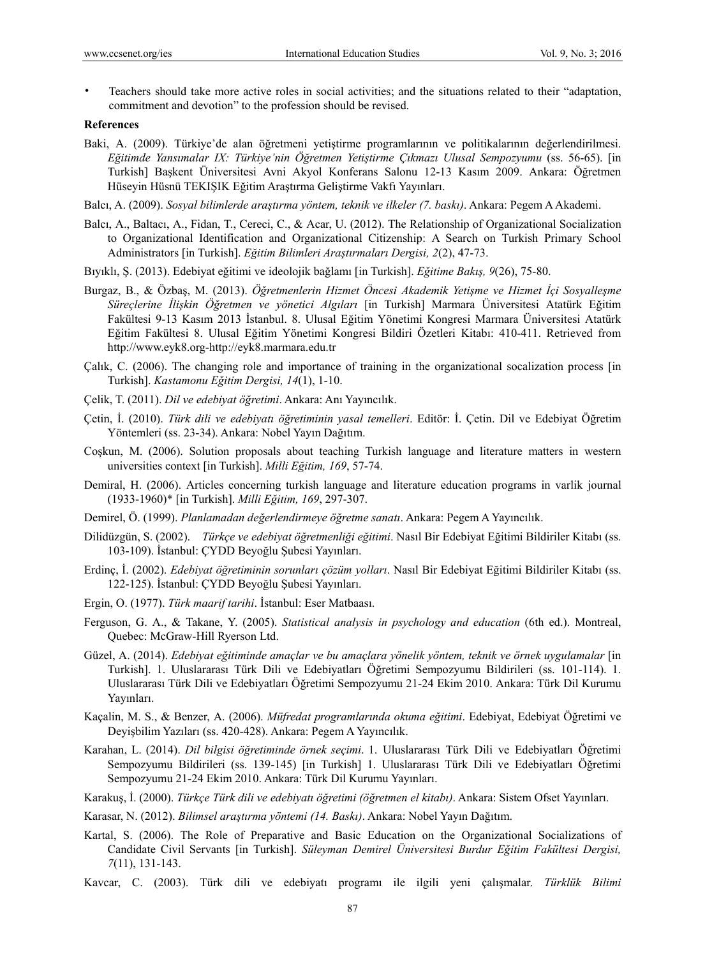• Teachers should take more active roles in social activities; and the situations related to their "adaptation, commitment and devotion" to the profession should be revised.

#### **References**

Baki, A. (2009). Türkiye'de alan öğretmeni yetiştirme programlarının ve politikalarının değerlendirilmesi. *Eğitimde Yansımalar IX: Türkiye'nin Öğretmen Yetiştirme Çıkmazı Ulusal Sempozyumu* (ss. 56-65). [in Turkish] Başkent Üniversitesi Avni Akyol Konferans Salonu 12-13 Kasım 2009. Ankara: Öğretmen Hüseyin Hüsnü TEKIŞIK Eğitim Araştırma Geliştirme Vakfı Yayınları.

Balcı, A. (2009). *Sosyal bilimlerde araştırma yöntem, teknik ve ilkeler (7. baskı)*. Ankara: Pegem A Akademi.

- Balcı, A., Baltacı, A., Fidan, T., Cereci, C., & Acar, U. (2012). The Relationship of Organizational Socialization to Organizational Identification and Organizational Citizenship: A Search on Turkish Primary School Administrators [in Turkish]. *Eğitim Bilimleri Araştırmaları Dergisi, 2*(2), 47-73.
- Bıyıklı, Ş. (2013). Edebiyat eğitimi ve ideolojik bağlamı [in Turkish]. *Eğitime Bakış, 9*(26), 75-80.
- Burgaz, B., & Özbaş, M. (2013). *Öğretmenlerin Hizmet Öncesi Akademik Yetişme ve Hizmet İçi Sosyalleşme Süreçlerine İlişkin Öğretmen ve yönetici Algıları* [in Turkish] Marmara Üniversitesi Atatürk Eğitim Fakültesi 9-13 Kasım 2013 İstanbul. 8. Ulusal Eğitim Yönetimi Kongresi Marmara Üniversitesi Atatürk Eğitim Fakültesi 8. Ulusal Eğitim Yönetimi Kongresi Bildiri Özetleri Kitabı: 410-411. Retrieved from http://www.eyk8.org-http://eyk8.marmara.edu.tr
- Calık, C. (2006). The changing role and importance of training in the organizational socalization process [in Turkish]. *Kastamonu Eğitim Dergisi, 14*(1), 1-10.
- Çelik, T. (2011). *Dil ve edebiyat öğretimi*. Ankara: Anı Yayıncılık.
- Çetin, İ. (2010). *Türk dili ve edebiyatı öğretiminin yasal temelleri*. Editör: İ. Çetin. Dil ve Edebiyat Öğretim Yöntemleri (ss. 23-34). Ankara: Nobel Yayın Dağıtım.
- Coşkun, M. (2006). Solution proposals about teaching Turkish language and literature matters in western universities context [in Turkish]. *Milli Eğitim, 169*, 57-74.
- Demiral, H. (2006). Articles concerning turkish language and literature education programs in varlik journal (1933-1960)\* [in Turkish]. *Milli Eğitim, 169*, 297-307.
- Demirel, Ö. (1999). *Planlamadan değerlendirmeye öğretme sanatı*. Ankara: Pegem A Yayıncılık.
- Dilidüzgün, S. (2002). *Türkçe ve edebiyat öğretmenliği eğitimi*. Nasıl Bir Edebiyat Eğitimi Bildiriler Kitabı (ss. 103-109). İstanbul: ÇYDD Beyoğlu Şubesi Yayınları.
- Erdinç, İ. (2002). *Edebiyat öğretiminin sorunları çözüm yolları*. Nasıl Bir Edebiyat Eğitimi Bildiriler Kitabı (ss. 122-125). İstanbul: ÇYDD Beyoğlu Şubesi Yayınları.
- Ergin, O. (1977). *Türk maarif tarihi*. İstanbul: Eser Matbaası.
- Ferguson, G. A., & Takane, Y. (2005). *Statistical analysis in psychology and education* (6th ed.). Montreal, Quebec: McGraw-Hill Ryerson Ltd.
- Güzel, A. (2014). *Edebiyat eğitiminde amaçlar ve bu amaçlara yönelik yöntem, teknik ve örnek uygulamalar* [in Turkish]. 1. Uluslararası Türk Dili ve Edebiyatları Öğretimi Sempozyumu Bildirileri (ss. 101-114). 1. Uluslararası Türk Dili ve Edebiyatları Öğretimi Sempozyumu 21-24 Ekim 2010. Ankara: Türk Dil Kurumu Yayınları.
- Kaçalin, M. S., & Benzer, A. (2006). *Müfredat programlarında okuma eğitimi*. Edebiyat, Edebiyat Öğretimi ve Deyişbilim Yazıları (ss. 420-428). Ankara: Pegem A Yayıncılık.
- Karahan, L. (2014). *Dil bilgisi öğretiminde örnek seçimi*. 1. Uluslararası Türk Dili ve Edebiyatları Öğretimi Sempozyumu Bildirileri (ss. 139-145) [in Turkish] 1. Uluslararası Türk Dili ve Edebiyatları Öğretimi Sempozyumu 21-24 Ekim 2010. Ankara: Türk Dil Kurumu Yayınları.
- Karakuş, İ. (2000). *Türkçe Türk dili ve edebiyatı öğretimi (öğretmen el kitabı)*. Ankara: Sistem Ofset Yayınları.
- Karasar, N. (2012). *Bilimsel araştırma yöntemi (14. Baskı)*. Ankara: Nobel Yayın Dağıtım.
- Kartal, S. (2006). The Role of Preparative and Basic Education on the Organizational Socializations of Candidate Civil Servants [in Turkish]. *Süleyman Demirel Üniversitesi Burdur Eğitim Fakültesi Dergisi, 7*(11), 131-143.
- Kavcar, C. (2003). Türk dili ve edebiyatı programı ile ilgili yeni çalışmalar. *Türklük Bilimi*